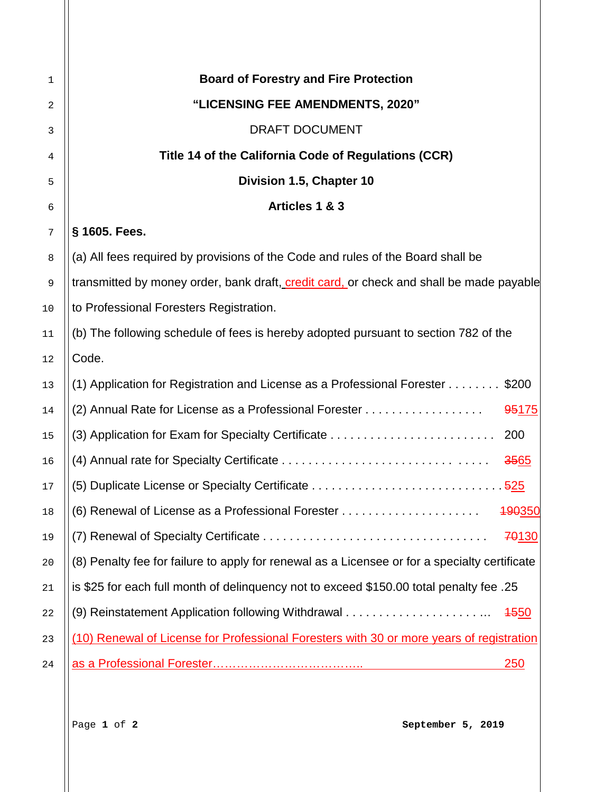| $\mathbf{1}$ | <b>Board of Forestry and Fire Protection</b>                                                  |
|--------------|-----------------------------------------------------------------------------------------------|
| 2            | "LICENSING FEE AMENDMENTS, 2020"                                                              |
| 3            | <b>DRAFT DOCUMENT</b>                                                                         |
| 4            | Title 14 of the California Code of Regulations (CCR)                                          |
| 5            | Division 1.5, Chapter 10                                                                      |
| 6            | Articles 1 & 3                                                                                |
| 7            | § 1605. Fees.                                                                                 |
| 8            | (a) All fees required by provisions of the Code and rules of the Board shall be               |
| $\mathsf 9$  | transmitted by money order, bank draft, credit card, or check and shall be made payable       |
| 10           | to Professional Foresters Registration.                                                       |
| 11           | (b) The following schedule of fees is hereby adopted pursuant to section 782 of the           |
| 12           | Code.                                                                                         |
| 13           | (1) Application for Registration and License as a Professional Forester \$200                 |
| 14           | (2) Annual Rate for License as a Professional Forester<br>95175                               |
| 15           | 200                                                                                           |
| 16           | 3565                                                                                          |
| 17           |                                                                                               |
| 18           | (6) Renewal of License as a Professional Forester<br>490350                                   |
| 19           | 70130                                                                                         |
| 20           | (8) Penalty fee for failure to apply for renewal as a Licensee or for a specialty certificate |
| 21           | is \$25 for each full month of delinguency not to exceed \$150.00 total penalty fee .25       |
| 22           | <b>4550</b>                                                                                   |
| 23           | (10) Renewal of License for Professional Foresters with 30 or more years of registration      |
| 24           | <u>250</u>                                                                                    |